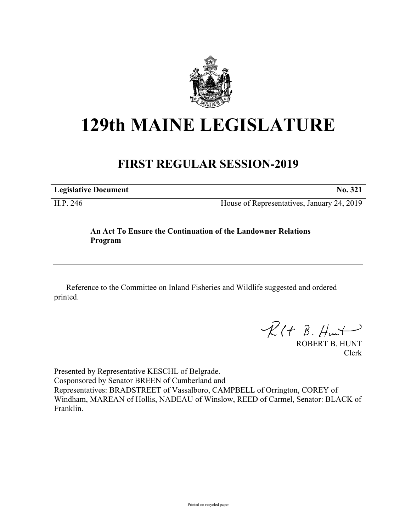

# **129th MAINE LEGISLATURE**

# **FIRST REGULAR SESSION-2019**

**Legislative Document No. 321**

H.P. 246 House of Representatives, January 24, 2019

## **An Act To Ensure the Continuation of the Landowner Relations Program**

Reference to the Committee on Inland Fisheries and Wildlife suggested and ordered printed.

 $R(H B. H<sub>un</sub>+)$ 

ROBERT B. HUNT Clerk

Presented by Representative KESCHL of Belgrade. Cosponsored by Senator BREEN of Cumberland and Representatives: BRADSTREET of Vassalboro, CAMPBELL of Orrington, COREY of Windham, MAREAN of Hollis, NADEAU of Winslow, REED of Carmel, Senator: BLACK of Franklin.